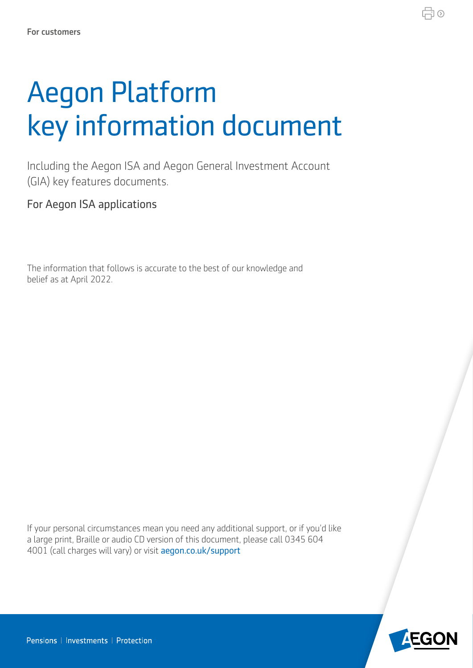# Aegon Platform key information document

Including the Aegon ISA and Aegon General Investment Account (GIA) key features documents.

For Aegon ISA applications

The information that follows is accurate to the best of our knowledge and belief as at April 2022.

If your personal circumstances mean you need any additional support, or if you'd like a large print, Braille or audio CD version of this document, please call 0345 604 4001 (call charges will vary) or visit aegon.co.uk/support



♬⊙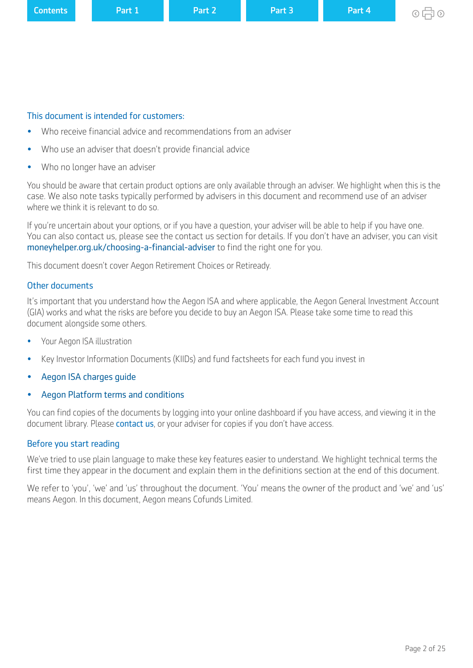| <b>Contents</b> | <b>\Part 1</b> | Part 2 | Part 3 | Part 4 |
|-----------------|----------------|--------|--------|--------|
|-----------------|----------------|--------|--------|--------|

## This document is intended for customers:

- Who receive fnancial advice and recommendations from an adviser
- Who use an adviser that doesn't provide fnancial advice
- Who no longer have an adviser

You should be aware that certain product options are only available through an adviser. We highlight when this is the case. We also note tasks typically performed by advisers in this document and recommend use of an adviser where we think it is relevant to do so.

If you're uncertain about your options, or if you have a question, your adviser will be able to help if you have one. You can also contact us, please see the contact us section for details. If you don't have an adviser, you can visit moneyhelper.org.uk/choosing-a-financial-adviser to find the right one for you.

This document doesn't cover Aegon Retirement Choices or Retiready.

## Other documents

It's important that you understand how the Aegon ISA and where applicable, the Aegon General Investment Account (GIA) works and what the risks are before you decide to buy an Aegon ISA. Please take some time to read this document alongside some others.

- Your Aegon ISA illustration
- Key Investor Information Documents (KIIDs) and fund factsheets for each fund you invest in
- [Aegon ISA charges guide](https://customerdashboard.aegon.co.uk/content/dam/documents/aegon-isa-gia-charges-guide.pdf)
- [Aegon Platform terms and conditions](https://customerdashboard.aegon.co.uk/content/dam/documents/aegon-platform-terms-and-conditions.pdf)

You can find copies of the documents by logging into your online dashboard if you have access, and viewing it in the document library. Please [contact us](https://customerdashboard.aegon.co.uk/content/help-and-support.html?tab=customer-services), or your adviser for copies if you don't have access.

## Before you start reading

We've tried to use plain language to make these key features easier to understand. We highlight technical terms the first time they appear in the document and explain them in the definitions section at the end of this document.

We refer to 'you', 'we' and 'us' throughout the document. 'You' means the owner of the product and 'we' and 'us' means Aegon. In this document, Aegon means Cofunds Limited.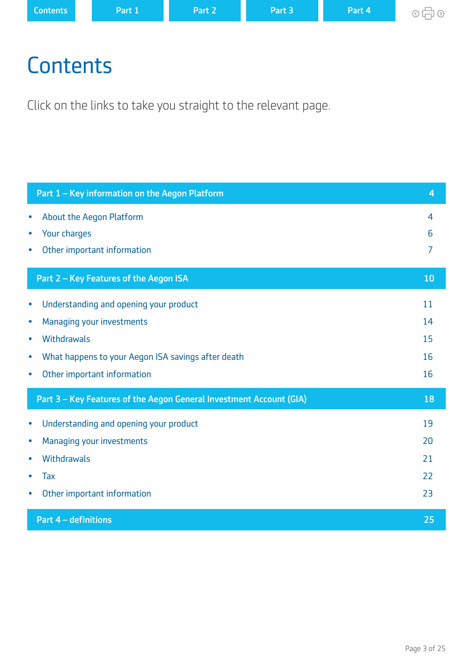<span id="page-2-0"></span>

| <b>Contents</b> | <b>\Part 1</b> | Part 2 | Part 3 | Part 4 |
|-----------------|----------------|--------|--------|--------|
|-----------------|----------------|--------|--------|--------|

# **Contents**

Click on the links to take you straight to the relevant page.

| Part 1 - Key information on the Aegon Platform                                                                                                                                                                           | $\overline{4}$             |
|--------------------------------------------------------------------------------------------------------------------------------------------------------------------------------------------------------------------------|----------------------------|
| <b>About the Aegon Platform</b><br>$\bullet$<br>Your charges<br>$\bullet$<br>Other important information<br>$\bullet$                                                                                                    | 4<br>6<br>7                |
| Part 2 - Key Features of the Aegon ISA                                                                                                                                                                                   | 10                         |
| Understanding and opening your product<br>$\bullet$<br>Managing your investments<br>$\bullet$<br>Withdrawals<br>۰<br>What happens to your Aegon ISA savings after death<br>۰<br>Other important information<br>$\bullet$ | 11<br>14<br>15<br>16<br>16 |
| Part 3 - Key Features of the Aegon General Investment Account (GIA)                                                                                                                                                      | 18                         |
| Understanding and opening your product<br>$\bullet$<br>Managing your investments<br>$\bullet$<br>Withdrawals<br>٠<br>Tax<br>Other important information                                                                  | 19<br>20<br>21<br>22<br>23 |
| Part 4 - definitions                                                                                                                                                                                                     | 25                         |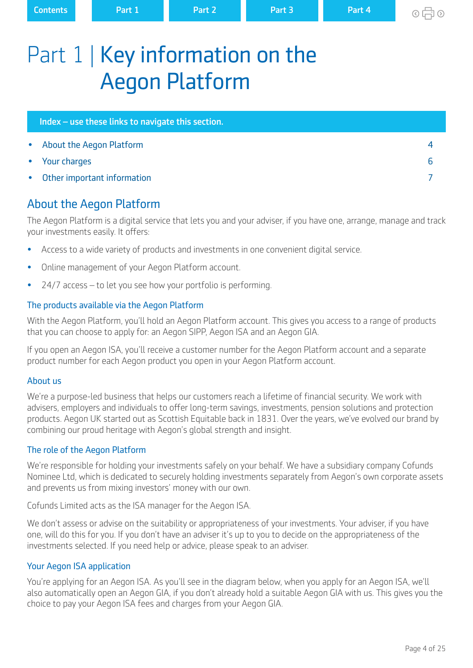<span id="page-3-0"></span>

| <b>Contents</b> | <b>\Part 1</b> | Part 2 | Part 3 | Part 4 |
|-----------------|----------------|--------|--------|--------|
|                 |                |        |        |        |

 $\circ$ A $\circ$ 

# Part 1 | Key information on the Aegon Platform

| Index - use these links to navigate this section. |   |
|---------------------------------------------------|---|
| • About the Aegon Platform                        |   |
| • Your charges                                    | h |
| • Other important information                     |   |

# About the Aegon Platform

The Aegon Platform is a digital service that lets you and your adviser, if you have one, arrange, manage and track your investments easily. It offers:

- Access to a wide variety of products and investments in one convenient digital service.
- Online management of your Aegon Platform account.
- 24/7 access to let you see how your portfolio is performing.

# The products available via the Aegon Platform

With the Aegon Platform, you'll hold an Aegon Platform account. This gives you access to a range of products that you can choose to apply for: an Aegon SIPP, Aegon ISA and an Aegon GIA.

If you open an Aegon ISA, you'll receive a customer number for the Aegon Platform account and a separate product number for each Aegon product you open in your Aegon Platform account.

# About us

We're a purpose-led business that helps our customers reach a lifetime of financial security. We work with advisers, employers and individuals to offer long-term savings, investments, pension solutions and protection products. Aegon UK started out as Scottish Equitable back in 1831. Over the years, we've evolved our brand by combining our proud heritage with Aegon's global strength and insight.

# The role of the Aegon Platform

We're responsible for holding your investments safely on your behalf. We have a subsidiary company Cofunds Nominee Ltd, which is dedicated to securely holding investments separately from Aegon's own corporate assets and prevents us from mixing investors' money with our own.

Cofunds Limited acts as the ISA manager for the Aegon ISA.

We don't assess or advise on the suitability or appropriateness of your investments. Your adviser, if you have one, will do this for you. If you don't have an adviser it's up to you to decide on the appropriateness of the investments selected. If you need help or advice, please speak to an adviser.

# Your Aegon ISA application

You're applying for an Aegon ISA. As you'll see in the diagram below, when you apply for an Aegon ISA, we'll also automatically open an Aegon GIA, if you don't already hold a suitable Aegon GIA with us. This gives you the choice to pay your Aegon ISA fees and charges from your Aegon GIA.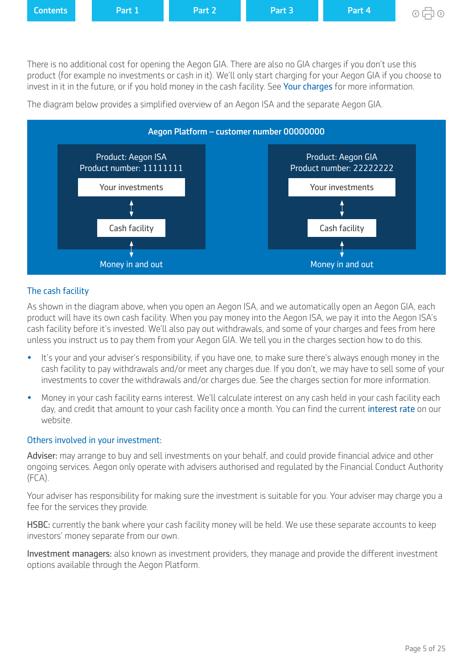<span id="page-4-0"></span>

There is no additional cost for opening the Aegon GIA. There are also no GIA charges if you don't use this product (for example no investments or cash in it). We'll only start charging for your Aegon GIA if you choose to invest in it in the future, or if you hold money in the cash facility. See [Your charges](#page-5-0) for more information.



The diagram below provides a simplifed overview of an Aegon ISA and the separate Aegon GIA.

## The cash facility

As shown in the diagram above, when you open an Aegon ISA, and we automatically open an Aegon GIA, each product will have its own cash facility. When you pay money into the Aegon ISA, we pay it into the Aegon ISA's cash facility before it's invested. We'll also pay out withdrawals, and some of your charges and fees from here unless you instruct us to pay them from your Aegon GIA. We tell you in the charges section how to do this.

- It's your and your adviser's responsibility, if you have one, to make sure there's always enough money in the cash facility to pay withdrawals and/or meet any charges due. If you don't, we may have to sell some of your investments to cover the withdrawals and/or charges due. See the charges section for more information.
- Money in your cash facility earns interest. We'll calculate interest on any cash held in your cash facility each day, and credit that amount to your cash facility once a month. You can find the current [interest rate](https://customerdashboard.aegon.co.uk/content/help-and-support.html?tab=faqs#what-rate-of-interest-is-payable-on-cash-in-my-isa-cash-facility) on our website.

### Others involved in your investment:

Adviser: may arrange to buy and sell investments on your behalf, and could provide financial advice and other ongoing services. Aegon only operate with advisers authorised and regulated by the Financial Conduct Authority (FCA).

Your adviser has responsibility for making sure the investment is suitable for you. Your adviser may charge you a fee for the services they provide.

HSBC: currently the bank where your cash facility money will be held. We use these separate accounts to keep investors' money separate from our own.

Investment managers: also known as investment providers, they manage and provide the diferent investment options available through the Aegon Platform.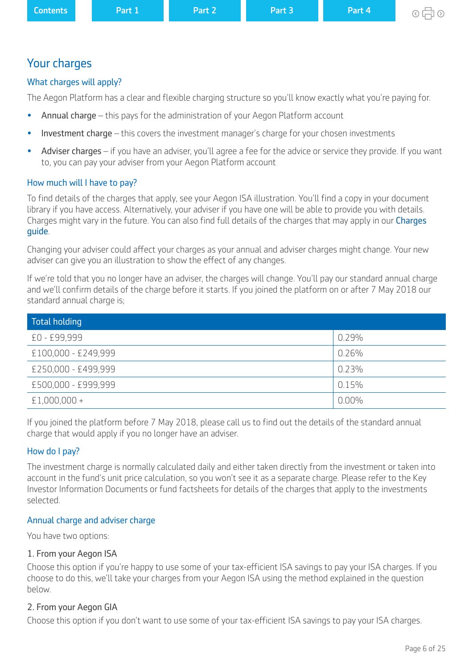<span id="page-5-0"></span>

| <b>Contents</b> | <b>\Part 1\</b> | Part 2 | ' Part 3. | Part 4 |
|-----------------|-----------------|--------|-----------|--------|
|                 |                 |        |           |        |

# Your charges

# What charges will apply?

The Aegon Platform has a clear and flexible charging structure so you'll know exactly what you're paying for.

- Annual charge this pays for the administration of your Aegon Platform account
- Investment charge this covers the investment manager's charge for your chosen investments
- Adviser charges if you have an adviser, you'll agree a fee for the advice or service they provide. If you want to, you can pay your adviser from your Aegon Platform account

# How much will I have to pay?

To find details of the charges that apply, see your Aegon ISA illustration. You'll find a copy in your document library if you have access. Alternatively, your adviser if you have one will be able to provide you with details. [Charges](https://customerdashboard.aegon.co.uk/content/dam/documents/aegon-isa-gia-charges-guide.pdf) might vary in the future. You can also find full details of the charges that may apply in our Charges [guide](https://customerdashboard.aegon.co.uk/content/dam/documents/aegon-isa-gia-charges-guide.pdf).

Changing your adviser could affect your charges as your annual and adviser charges might change. Your new adviser can give you an illustration to show the effect of any changes.

If we're told that you no longer have an adviser, the charges will change. You'll pay our standard annual charge and we'll confirm details of the charge before it starts. If you joined the platform on or after 7 May 2018 our standard annual charge is;

| Total holding       |          |
|---------------------|----------|
| £0 - £99,999        | 0.29%    |
| £100,000 - £249,999 | 0.26%    |
| £250,000 - £499,999 | 0.23%    |
| £500,000 - £999,999 | 0.15%    |
| $£1,000,000+$       | $0.00\%$ |

If you joined the platform before 7 May 2018, please call us to find out the details of the standard annual charge that would apply if you no longer have an adviser.

# How do I pay?

The investment charge is normally calculated daily and either taken directly from the investment or taken into account in the fund's unit price calculation, so you won't see it as a separate charge. Please refer to the Key Investor Information Documents or fund factsheets for details of the charges that apply to the investments selected.

# Annual charge and adviser charge

You have two options:

# 1. From your Aegon ISA

Choose this option if you're happy to use some of your tax-efficient ISA savings to pay your ISA charges. If you choose to do this, we'll take your charges from your Aegon ISA using the method explained in the question below.

# 2. From your Aegon GIA

Choose this option if you don't want to use some of your tax-efficient ISA savings to pay your ISA charges.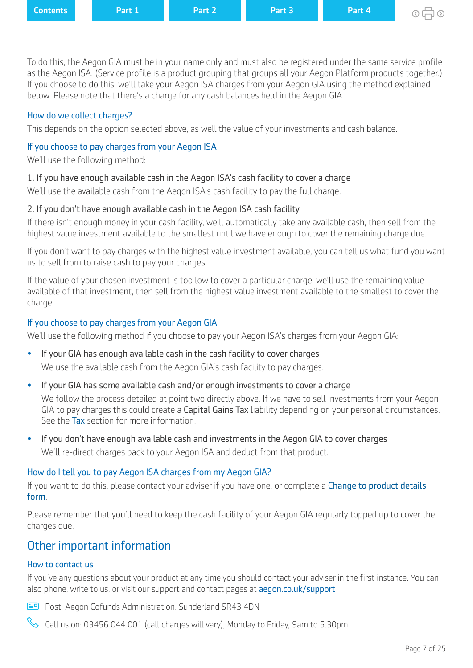<span id="page-6-0"></span>

| <b>Contents</b> | <b>\Part 1\</b> | Part 2 | Part 3 | Part 4 |
|-----------------|-----------------|--------|--------|--------|
|                 |                 |        |        |        |

To do this, the Aegon GIA must be in your name only and must also be registered under the same service profle as the Aegon ISA. (Service profile is a product grouping that groups all your Aegon Platform products together.) If you choose to do this, we'll take your Aegon ISA charges from your Aegon GIA using the method explained below. Please note that there's a charge for any cash balances held in the Aegon GIA.

## How do we collect charges?

This depends on the option selected above, as well the value of your investments and cash balance.

# If you choose to pay charges from your Aegon ISA

We'll use the following method:

## 1. If you have enough available cash in the Aegon ISA's cash facility to cover a charge

We'll use the available cash from the Aegon ISA's cash facility to pay the full charge.

## 2. If you don't have enough available cash in the Aegon ISA cash facility

If there isn't enough money in your cash facility, we'll automatically take any available cash, then sell from the highest value investment available to the smallest until we have enough to cover the remaining charge due.

If you don't want to pay charges with the highest value investment available, you can tell us what fund you want us to sell from to raise cash to pay your charges.

If the value of your chosen investment is too low to cover a particular charge, we'll use the remaining value available of that investment, then sell from the highest value investment available to the smallest to cover the charge.

# If you choose to pay charges from your Aegon GIA

We'll use the following method if you choose to pay your Aegon ISA's charges from your Aegon GIA:

- If your GIA has enough available cash in the cash facility to cover charges We use the available cash from the Aegon GIA's cash facility to pay charges.
- If your GIA has some available cash and/or enough investments to cover a charge

We follow the process detailed at point two directly above. If we have to sell investments from your Aegon GIA to pay charges this could create a Capital Gains Tax liability depending on your personal circumstances. See the [Tax](#page-21-0) section for more information.

**•** If you don't have enough available cash and investments in the Aegon GIA to cover charges We'll re-direct charges back to your Aegon ISA and deduct from that product.

# How do I tell you to pay Aegon ISA charges from my Aegon GIA?

If you want to do this, please contact your adviser if you have one, or complete a Change to product details [form](https://intermediary.aegon.co.uk/content/dam/common/documents/change-to-product-details-ap-aegon-platform.pdf).

Please remember that you'll need to keep the cash facility of your Aegon GIA regularly topped up to cover the charges due.

# Other important information

# How to contact us

If you've any questions about your product at any time you should contact your adviser in the first instance. You can also phone, write to us, or visit our support and contact pages at aegon.co.uk/support

**Post: Aegon Cofunds Administration. Sunderland SR43 4DN** 

 $\infty$  Call us on: 03456 044 001 (call charges will vary), Monday to Friday, 9am to 5.30pm.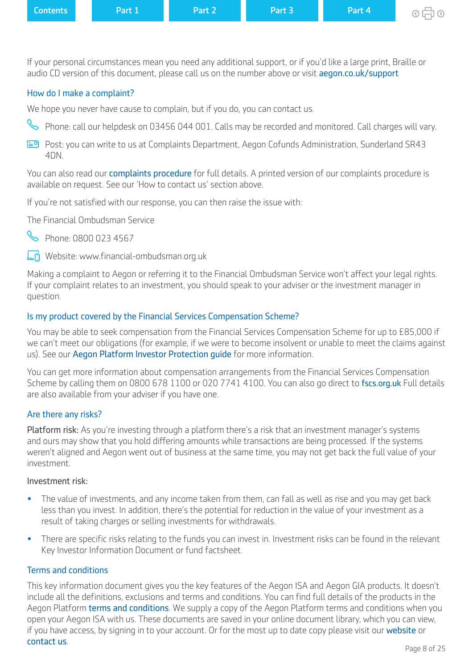<span id="page-7-0"></span>

| <b>Contents</b> | <b>Part 1</b> | Part 2 | Part 3 | <b>Part 4</b> | ⊙中⊙ |
|-----------------|---------------|--------|--------|---------------|-----|
|-----------------|---------------|--------|--------|---------------|-----|

If your personal circumstances mean you need any additional support, or if you'd like a large print, Braille or audio CD version of this document, please call us on the number above or visit aegon.co.uk/support

## How do I make a complaint?

We hope you never have cause to complain, but if you do, you can contact us.

- Phone: call our helpdesk on 03456 044 001. Calls may be recorded and monitored. Call charges will vary.
- Post: you can write to us at Complaints Department, Aegon Cofunds Administration, Sunderland SR43 4DN.

You can also read our **[complaints procedure](https://customerdashboard.aegon.co.uk/content/dam/common/documents/our-complaints-procedure.pdf)** for full details. A printed version of our complaints procedure is available on request. See our 'How to contact us' section above.

If you're not satisfied with our response, you can then raise the issue with:

The Financial Ombudsman Service



Phone: 0800 023 4567

Website: www.financial-ombudsman.org.uk

Making a complaint to Aegon or referring it to the Financial Ombudsman Service won't afect your legal rights. If your complaint relates to an investment, you should speak to your adviser or the investment manager in question.

### Is my product covered by the Financial Services Compensation Scheme?

You may be able to seek compensation from the Financial Services Compensation Scheme for up to £85,000 if we can't meet our obligations (for example, if we were to become insolvent or unable to meet the claims against us). See our [Aegon Platform Investor Protection guide](https://www.aegon.co.uk/content/dam/ukpaw/documents/investor-protection-through-aegon-retirement-choices-and-one-retirement.pdf) for more information.

You can get more information about compensation arrangements from the Financial Services Compensation Scheme by calling them on 0800 678 1100 or 020 7741 4100. You can also go direct to [fscs.org.uk](http://fscs.org.uk) Full details are also available from your adviser if you have one.

#### Are there any risks?

Platform risk: As you're investing through a platform there's a risk that an investment manager's systems and ours may show that you hold difering amounts while transactions are being processed. If the systems weren't aligned and Aegon went out of business at the same time, you may not get back the full value of your investment.

#### Investment risk:

- The value of investments, and any income taken from them, can fall as well as rise and you may get back less than you invest. In addition, there's the potential for reduction in the value of your investment as a result of taking charges or selling investments for withdrawals.
- There are specific risks relating to the funds you can invest in. Investment risks can be found in the relevant Key Investor Information Document or fund factsheet.

#### Terms and conditions

This key information document gives you the key features of the Aegon ISA and Aegon GIA products. It doesn't include all the definitions, exclusions and terms and conditions. You can find full details of the products in the Aegon Platform [terms and conditions](https://customerdashboard.aegon.co.uk/content/dam/documents/aegon-platform-terms-and-conditions.pdf). We supply a copy of the Aegon Platform terms and conditions when you open your Aegon ISA with us. These documents are saved in your online document library, which you can view, if you have access, by signing in to your account. Or for the most up to date copy please visit our [website](https://www.cofunds.aegon.co.uk/index.html) or [contact us](https://customerdashboard.aegon.co.uk/content/help-and-support.html?tab=customer-services).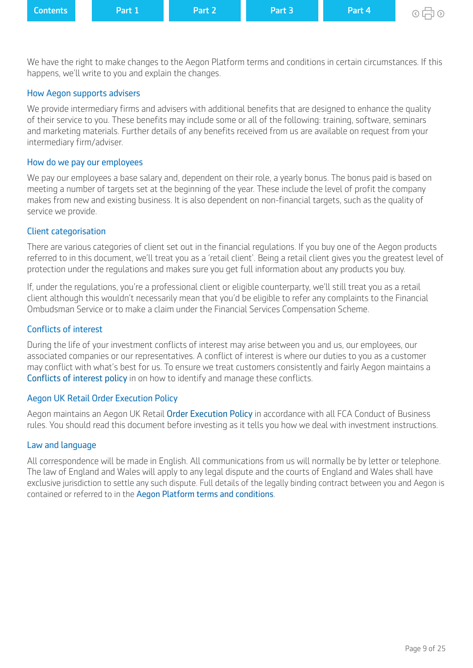| <b>Contents</b> |  | Part 1 | Part 2 | Part 3 | Part 4 | $\circ$ 月 $\circ$ |
|-----------------|--|--------|--------|--------|--------|-------------------|
|-----------------|--|--------|--------|--------|--------|-------------------|

We have the right to make changes to the Aegon Platform terms and conditions in certain circumstances. If this happens, we'll write to you and explain the changes.

#### How Aegon supports advisers

We provide intermediary firms and advisers with additional benefits that are designed to enhance the quality of their service to you. These benefits may include some or all of the following: training, software, seminars and marketing materials. Further details of any benefits received from us are available on request from your intermediary firm/adviser.

#### How do we pay our employees

We pay our employees a base salary and, dependent on their role, a yearly bonus. The bonus paid is based on meeting a number of targets set at the beginning of the year. These include the level of profit the company makes from new and existing business. It is also dependent on non-fnancial targets, such as the quality of service we provide.

#### Client categorisation

There are various categories of client set out in the financial regulations. If you buy one of the Aegon products referred to in this document, we'll treat you as a 'retail client'. Being a retail client gives you the greatest level of protection under the regulations and makes sure you get full information about any products you buy.

If, under the regulations, you're a professional client or eligible counterparty, we'll still treat you as a retail client although this wouldn't necessarily mean that you'd be eligible to refer any complaints to the Financial Ombudsman Service or to make a claim under the Financial Services Compensation Scheme.

### Conficts of interest

During the life of your investment conficts of interest may arise between you and us, our employees, our associated companies or our representatives. A confict of interest is where our duties to you as a customer may confict with what's best for us. To ensure we treat customers consistently and fairly Aegon maintains a [Conflicts of interest policy](https://www.aegon.co.uk/content/dam/ukpaw/documents/conflicts-of-interest-policy.pdf) in on how to identify and manage these conficts.

### Aegon UK Retail Order Execution Policy

Aegon maintains an Aegon UK Retail [Order Execution Policy](https://www.aegon.co.uk/content/dam/ukpaw/documents/order-execution-policy-arc-or.pdf) in accordance with all FCA Conduct of Business rules. You should read this document before investing as it tells you how we deal with investment instructions.

#### Law and language

All correspondence will be made in English. All communications from us will normally be by letter or telephone. The law of England and Wales will apply to any legal dispute and the courts of England and Wales shall have exclusive jurisdiction to settle any such dispute. Full details of the legally binding contract between you and Aegon is contained or referred to in the [Aegon Platform terms and conditions](https://intermediary.aegon.co.uk/content/dam/common/documents/aegon-platform-terms-and-conditions.pdf).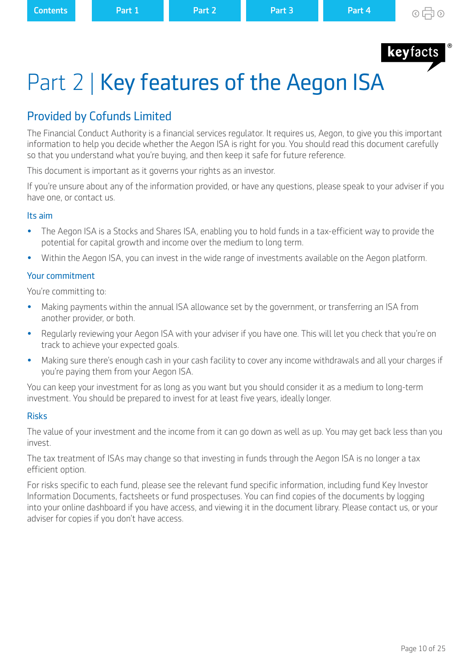

# <span id="page-9-0"></span>Part 2 | Key features of the Aegon ISA

# Provided by Cofunds Limited

The Financial Conduct Authority is a financial services regulator. It requires us, Aegon, to give you this important information to help you decide whether the Aegon ISA is right for you. You should read this document carefully so that you understand what you're buying, and then keep it safe for future reference.

This document is important as it governs your rights as an investor.

If you're unsure about any of the information provided, or have any questions, please speak to your adviser if you have one, or contact us.

### Its aim

- The Aegon ISA is a Stocks and Shares ISA, enabling you to hold funds in a tax-efficient way to provide the potential for capital growth and income over the medium to long term.
- Within the Aegon ISA, you can invest in the wide range of investments available on the Aegon platform.

## Your commitment

You're committing to:

- Making payments within the annual ISA allowance set by the government, or transferring an ISA from another provider, or both.
- Regularly reviewing your Aegon ISA with your adviser if you have one. This will let you check that you're on track to achieve your expected goals.
- Making sure there's enough cash in your cash facility to cover any income withdrawals and all your charges if you're paying them from your Aegon ISA.

You can keep your investment for as long as you want but you should consider it as a medium to long-term investment. You should be prepared to invest for at least five years, ideally longer.

### Risks

The value of your investment and the income from it can go down as well as up. You may get back less than you invest.

The tax treatment of ISAs may change so that investing in funds through the Aegon ISA is no longer a tax efficient option.

For risks specific to each fund, please see the relevant fund specific information, including fund Key Investor Information Documents, factsheets or fund prospectuses. You can find copies of the documents by logging into your online dashboard if you have access, and viewing it in the document library. Please contact us, or your adviser for copies if you don't have access.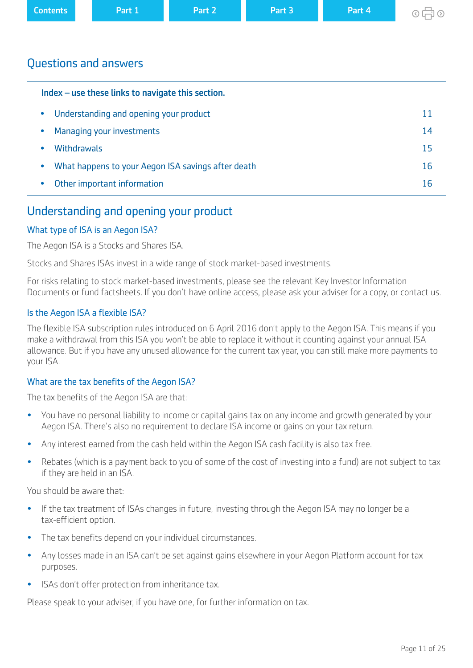<span id="page-10-0"></span>

| <b>Contents</b> | Part 1 | Part 2 | Part 3 | Part 4 | ര — ച |
|-----------------|--------|--------|--------|--------|-------|
|                 |        |        |        |        |       |

## Questions and answers

| Index – use these links to navigate this section.               |    |  |  |
|-----------------------------------------------------------------|----|--|--|
| Understanding and opening your product<br>$\bullet$             | 11 |  |  |
| Managing your investments<br>$\bullet$                          | 14 |  |  |
| <b>Withdrawals</b>                                              | 15 |  |  |
| What happens to your Aegon ISA savings after death<br>$\bullet$ | 16 |  |  |
| Other important information<br>۰                                | 16 |  |  |

## Understanding and opening your product

## What type of ISA is an Aegon ISA?

The Aegon ISA is a Stocks and Shares ISA.

Stocks and Shares ISAs invest in a wide range of stock market-based investments.

For risks relating to stock market-based investments, please see the relevant Key Investor Information Documents or fund factsheets. If you don't have online access, please ask your adviser for a copy, or contact us.

### Is the Aegon ISA a flexible ISA?

The flexible ISA subscription rules introduced on 6 April 2016 don't apply to the Aegon ISA. This means if you make a withdrawal from this ISA you won't be able to replace it without it counting against your annual ISA allowance. But if you have any unused allowance for the current tax year, you can still make more payments to your ISA.

### What are the tax benefits of the Aegon ISA?

The tax benefits of the Aegon ISA are that:

- You have no personal liability to income or capital gains tax on any income and growth generated by your Aegon ISA. There's also no requirement to declare ISA income or gains on your tax return.
- Any interest earned from the cash held within the Aegon ISA cash facility is also tax free.
- Rebates (which is a payment back to you of some of the cost of investing into a fund) are not subject to tax if they are held in an ISA.

You should be aware that:

- If the tax treatment of ISAs changes in future, investing through the Aegon ISA may no longer be a tax-efficient option.
- The tax benefts depend on your individual circumstances.
- Any losses made in an ISA can't be set against gains elsewhere in your Aegon Platform account for tax purposes.
- **ISAs don't offer protection from inheritance tax.**

Please speak to your adviser, if you have one, for further information on tax.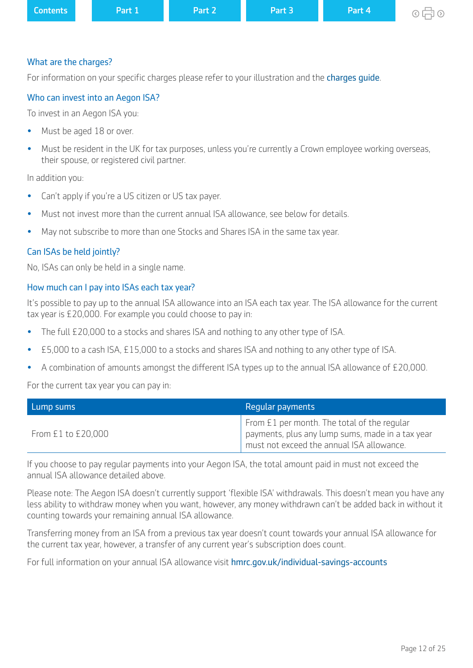| <b>Contents</b>       | Part 1 | Part 2 | Part 3 | Part 4 | $\circ$ 中 $\circ$ |
|-----------------------|--------|--------|--------|--------|-------------------|
|                       |        |        |        |        |                   |
| What are the charges? |        |        |        |        |                   |

For information on your specific charges please refer to your illustration and the charges quide.

## Who can invest into an Aegon ISA?

To invest in an Aegon ISA you:

- Must be aged 18 or over.
- Must be resident in the UK for tax purposes, unless you're currently a Crown employee working overseas, their spouse, or registered civil partner.

In addition you:

- Can't apply if you're a US citizen or US tax payer.
- Must not invest more than the current annual ISA allowance, see below for details.
- May not subscribe to more than one Stocks and Shares ISA in the same tax year.

### Can ISAs be held jointly?

No, ISAs can only be held in a single name.

### How much can I pay into ISAs each tax year?

It's possible to pay up to the annual ISA allowance into an ISA each tax year. The ISA allowance for the current tax year is £20,000. For example you could choose to pay in:

- The full £20,000 to a stocks and shares ISA and nothing to any other type of ISA.
- £5,000 to a cash ISA, £15,000 to a stocks and shares ISA and nothing to any other type of ISA.
- A combination of amounts amongst the diferent ISA types up to the annual ISA allowance of £20,000.

For the current tax year you can pay in:

| Lump sums          | Regular payments                                                                                                                             |  |
|--------------------|----------------------------------------------------------------------------------------------------------------------------------------------|--|
| From £1 to £20,000 | From £1 per month. The total of the regular<br>payments, plus any lump sums, made in a tax year<br>must not exceed the annual ISA allowance. |  |

If you choose to pay regular payments into your Aegon ISA, the total amount paid in must not exceed the annual ISA allowance detailed above.

Please note: The Aegon ISA doesn't currently support 'flexible ISA' withdrawals. This doesn't mean you have any less ability to withdraw money when you want, however, any money withdrawn can't be added back in without it counting towards your remaining annual ISA allowance.

Transferring money from an ISA from a previous tax year doesn't count towards your annual ISA allowance for the current tax year, however, a transfer of any current year's subscription does count.

For full information on your annual ISA allowance visit [hmrc.gov.uk/individual-savings-accounts](https://www.gov.uk/individual-savings-accounts)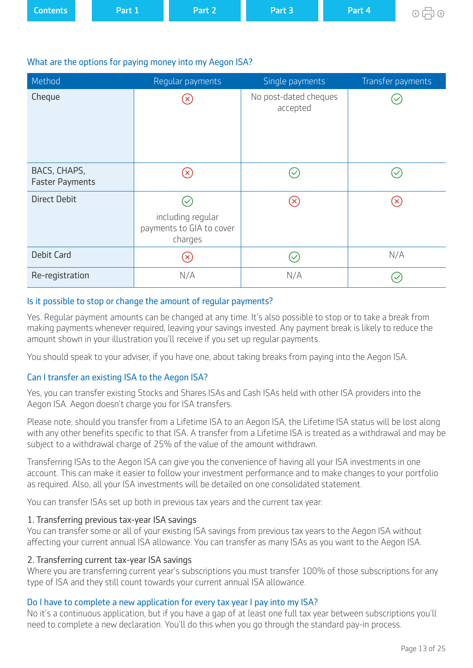| <b>Contents</b> | Part 1 | Part 2 | Part 3 | Part 4 | ⊙中の |
|-----------------|--------|--------|--------|--------|-----|
|                 |        |        |        |        |     |

### What are the options for paying money into my Aegon ISA?

| Method                                 | Regular payments                                         | Single payments                   | Transfer payments  |
|----------------------------------------|----------------------------------------------------------|-----------------------------------|--------------------|
| Cheque                                 | $(\times)$                                               | No post-dated cheques<br>accepted |                    |
| BACS, CHAPS,<br><b>Faster Payments</b> | $(\times)$                                               |                                   |                    |
| <b>Direct Debit</b>                    | including regular<br>payments to GIA to cover<br>charges | $\left( \mathsf{x}\right)$        | $(\!\mathsf{x}\!)$ |
| <b>Debit Card</b>                      | $\left( \mathsf{x}\right)$                               |                                   | N/A                |
| Re-registration                        | N/A                                                      | N/A                               |                    |

### Is it possible to stop or change the amount of regular payments?

Yes. Regular payment amounts can be changed at any time. It's also possible to stop or to take a break from making payments whenever required, leaving your savings invested. Any payment break is likely to reduce the amount shown in your illustration you'll receive if you set up regular payments.

You should speak to your adviser, if you have one, about taking breaks from paying into the Aegon ISA.

### Can I transfer an existing ISA to the Aegon ISA?

Yes, you can transfer existing Stocks and Shares ISAs and Cash ISAs held with other ISA providers into the Aegon ISA. Aegon doesn't charge you for ISA transfers.

Please note, should you transfer from a Lifetime ISA to an Aegon ISA, the Lifetime ISA status will be lost along with any other benefits specific to that ISA. A transfer from a Lifetime ISA is treated as a withdrawal and may be subject to a withdrawal charge of 25% of the value of the amount withdrawn.

Transferring ISAs to the Aegon ISA can give you the convenience of having all your ISA investments in one account. This can make it easier to follow your investment performance and to make changes to your portfolio as required. Also, all your ISA investments will be detailed on one consolidated statement.

You can transfer ISAs set up both in previous tax years and the current tax year:

### 1. Transferring previous tax-year ISA savings

You can transfer some or all of your existing ISA savings from previous tax years to the Aegon ISA without afecting your current annual ISA allowance. You can transfer as many ISAs as you want to the Aegon ISA.

### 2. Transferring current tax-year ISA savings

Where you are transferring current year's subscriptions you must transfer 100% of those subscriptions for any type of ISA and they still count towards your current annual ISA allowance.

### Do I have to complete a new application for every tax year I pay into my ISA?

No it's a continuous application, but if you have a gap of at least one full tax year between subscriptions you'll need to complete a new declaration. You'll do this when you go through the standard pay-in process.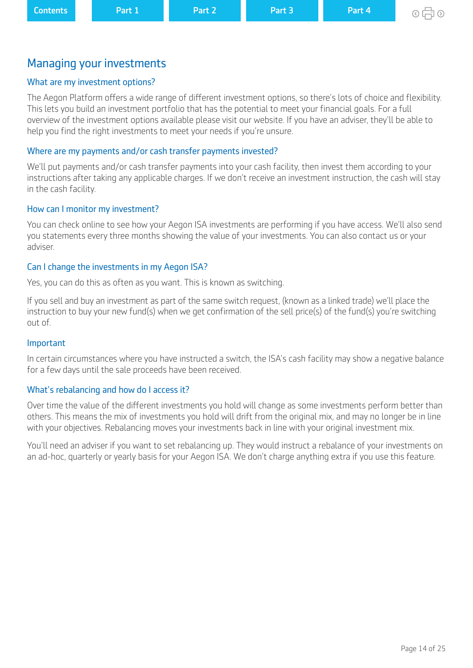# <span id="page-13-0"></span>Managing your investments

## What are my investment options?

The Aegon Platform ofers a wide range of diferent investment options, so there's lots of choice and fexibility. This lets you build an investment portfolio that has the potential to meet your financial goals. For a full overview of the investment options available please visit our website. If you have an adviser, they'll be able to help you find the right investments to meet your needs if you're unsure.

## Where are my payments and/or cash transfer payments invested?

We'll put payments and/or cash transfer payments into your cash facility, then invest them according to your instructions after taking any applicable charges. If we don't receive an investment instruction, the cash will stay in the cash facility.

## How can I monitor my investment?

You can check online to see how your Aegon ISA investments are performing if you have access. We'll also send you statements every three months showing the value of your investments. You can also contact us or your adviser.

## Can I change the investments in my Aegon ISA?

Yes, you can do this as often as you want. This is known as switching.

If you sell and buy an investment as part of the same switch request, (known as a linked trade) we'll place the instruction to buy your new fund(s) when we get confirmation of the sell price(s) of the fund(s) you're switching out of.

### Important

In certain circumstances where you have instructed a switch, the ISA's cash facility may show a negative balance for a few days until the sale proceeds have been received.

### What's rebalancing and how do I access it?

Over time the value of the diferent investments you hold will change as some investments perform better than others. This means the mix of investments you hold will drift from the original mix, and may no longer be in line with your objectives. Rebalancing moves your investments back in line with your original investment mix.

You'll need an adviser if you want to set rebalancing up. They would instruct a rebalance of your investments on an ad-hoc, quarterly or yearly basis for your Aegon ISA. We don't charge anything extra if you use this feature.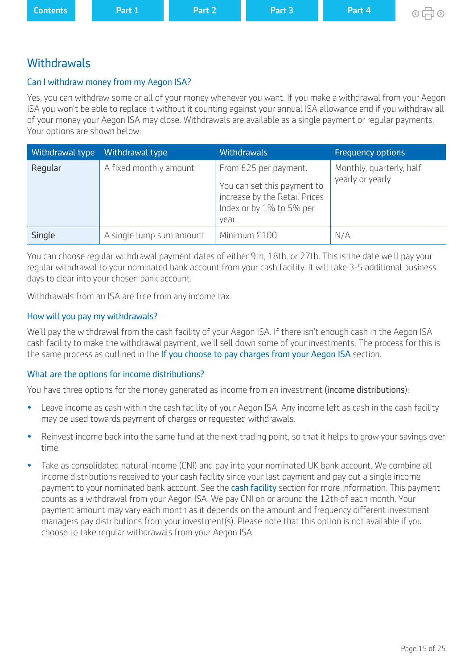<span id="page-14-0"></span>

| <b>Contents</b> | Part 1 | Part 2 | Part 3 | Part 4 | $\circ$ 中 $\circ$ |
|-----------------|--------|--------|--------|--------|-------------------|
|                 |        |        |        |        |                   |

## **Withdrawals**

## Can I withdraw money from my Aegon ISA?

Yes, you can withdraw some or all of your money whenever you want. If you make a withdrawal from your Aegon ISA you won't be able to replace it without it counting against your annual ISA allowance and if you withdraw all of your money your Aegon ISA may close. Withdrawals are available as a single payment or regular payments. Your options are shown below:

| Withdrawal type | Withdrawal type          | <b>Withdrawals</b>                                                                                                         | <b>Frequency options</b>                     |
|-----------------|--------------------------|----------------------------------------------------------------------------------------------------------------------------|----------------------------------------------|
| Regular         | A fixed monthly amount   | From £25 per payment.<br>You can set this payment to<br>increase by the Retail Prices<br>Index or by 1% to 5% per<br>year. | Monthly, quarterly, half<br>yearly or yearly |
| Single          | A single lump sum amount | Minimum £100                                                                                                               | N/A                                          |

You can choose regular withdrawal payment dates of either 9th, 18th, or 27th. This is the date we'll pay your regular withdrawal to your nominated bank account from your cash facility. It will take 3-5 additional business days to clear into your chosen bank account.

Withdrawals from an ISA are free from any income tax.

### How will you pay my withdrawals?

We'll pay the withdrawal from the cash facility of your Aegon ISA. If there isn't enough cash in the Aegon ISA cash facility to make the withdrawal payment, we'll sell down some of your investments. The process for this is the same process as outlined in the [If you choose to pay charges from your Aegon ISA](#page-6-0) section.

### What are the options for income distributions?

You have three options for the money generated as income from an investment (income distributions):

- Leave income as cash within the cash facility of your Aegon ISA. Any income left as cash in the cash facility may be used towards payment of charges or requested withdrawals.
- Reinvest income back into the same fund at the next trading point, so that it helps to grow your savings over time.
- Take as consolidated natural income (CNI) and pay into your nominated UK bank account. We combine all income distributions received to your [cash facility](#page-4-0) since your last payment and pay out a single income payment to your nominated bank account. See the [cash facility](#page-4-0) section for more information. This payment counts as a withdrawal from your Aegon ISA. We pay CNI on or around the 12th of each month. Your payment amount may vary each month as it depends on the amount and frequency diferent investment managers pay distributions from your investment(s). Please note that this option is not available if you choose to take regular withdrawals from your Aegon ISA.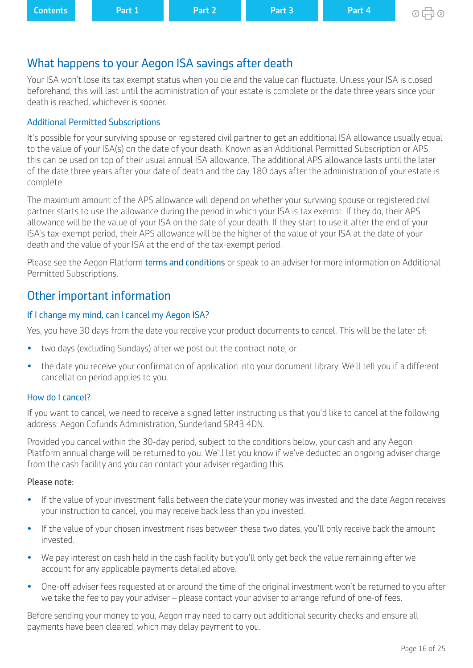# <span id="page-15-0"></span>What happens to your Aegon ISA savings after death

Your ISA won't lose its tax exempt status when you die and the value can fuctuate. Unless your ISA is closed beforehand, this will last until the administration of your estate is complete or the date three years since your death is reached, whichever is sooner.

## Additional Permitted Subscriptions

It's possible for your surviving spouse or registered civil partner to get an additional ISA allowance usually equal to the value of your ISA(s) on the date of your death. Known as an Additional Permitted Subscription or APS, this can be used on top of their usual annual ISA allowance. The additional APS allowance lasts until the later of the date three years after your date of death and the day 180 days after the administration of your estate is complete.

The maximum amount of the APS allowance will depend on whether your surviving spouse or registered civil partner starts to use the allowance during the period in which your ISA is tax exempt. If they do, their APS allowance will be the value of your ISA on the date of your death. If they start to use it after the end of your ISA's tax-exempt period, their APS allowance will be the higher of the value of your ISA at the date of your death and the value of your ISA at the end of the tax-exempt period.

Please see the Aegon Platform [terms and conditions](https://customerdashboard.aegon.co.uk/content/dam/documents/aegon-platform-terms-and-conditions.pdf) or speak to an adviser for more information on Additional Permitted Subscriptions.

# Other important information

## If I change my mind, can I cancel my Aegon ISA?

Yes, you have 30 days from the date you receive your product documents to cancel. This will be the later of:

- two days (excluding Sundays) after we post out the contract note, or
- the date you receive your confrmation of application into your document library. We'll tell you if a diferent cancellation period applies to you.

## How do I cancel?

If you want to cancel, we need to receive a signed letter instructing us that you'd like to cancel at the following address: Aegon Cofunds Administration, Sunderland SR43 4DN.

Provided you cancel within the 30-day period, subject to the conditions below, your cash and any Aegon Platform annual charge will be returned to you. We'll let you know if we've deducted an ongoing adviser charge from the cash facility and you can contact your adviser regarding this.

## Please note:

- If the value of your investment falls between the date your money was invested and the date Aegon receives your instruction to cancel, you may receive back less than you invested.
- If the value of your chosen investment rises between these two dates, you'll only receive back the amount invested.
- We pay interest on cash held in the cash facility but you'll only get back the value remaining after we account for any applicable payments detailed above.
- One-off adviser fees requested at or around the time of the original investment won't be returned to you after we take the fee to pay your adviser – please contact your adviser to arrange refund of one-of fees.

Before sending your money to you, Aegon may need to carry out additional security checks and ensure all payments have been cleared, which may delay payment to you.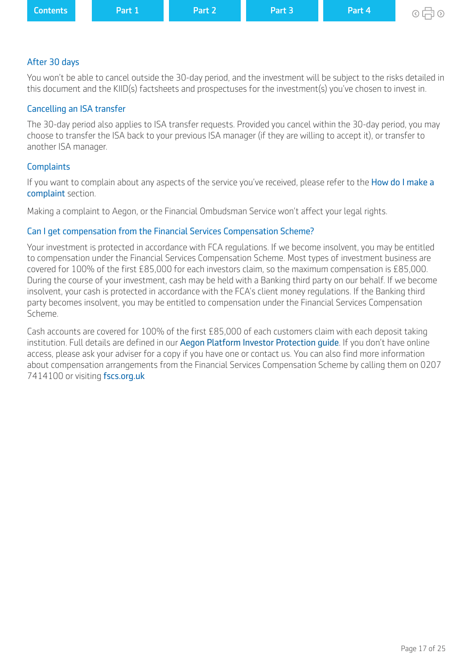| <b>Contents</b><br>Part 3<br>Part 2<br>Part 4<br><b>Part 1</b><br>$\circ$ $\Box$ $\circ$ |
|------------------------------------------------------------------------------------------|
|------------------------------------------------------------------------------------------|

#### After 30 days

You won't be able to cancel outside the 30-day period, and the investment will be subject to the risks detailed in this document and the KIID(s) factsheets and prospectuses for the investment(s) you've chosen to invest in.

#### Cancelling an ISA transfer

The 30-day period also applies to ISA transfer requests. Provided you cancel within the 30-day period, you may choose to transfer the ISA back to your previous ISA manager (if they are willing to accept it), or transfer to another ISA manager.

#### **Complaints**

If you want to complain about any aspects of the service you've received, please refer to the How do I make a [complaint](#page-7-0) section.

Making a complaint to Aegon, or the Financial Ombudsman Service won't affect your legal rights.

#### Can I get compensation from the Financial Services Compensation Scheme?

Your investment is protected in accordance with FCA regulations. If we become insolvent, you may be entitled to compensation under the Financial Services Compensation Scheme. Most types of investment business are covered for 100% of the first £85,000 for each investors claim, so the maximum compensation is £85,000. During the course of your investment, cash may be held with a Banking third party on our behalf. If we become insolvent, your cash is protected in accordance with the FCA's client money regulations. If the Banking third party becomes insolvent, you may be entitled to compensation under the Financial Services Compensation Scheme.

Cash accounts are covered for 100% of the first £85,000 of each customers claim with each deposit taking institution. Full details are defined in our Aegon Platform Investor Protection quide. If you don't have online access, please ask your adviser for a copy if you have one or contact us. You can also find more information about compensation arrangements from the Financial Services Compensation Scheme by calling them on 0207 7414100 or visiting [fscs.org.uk](http://www.fscs.org.uk)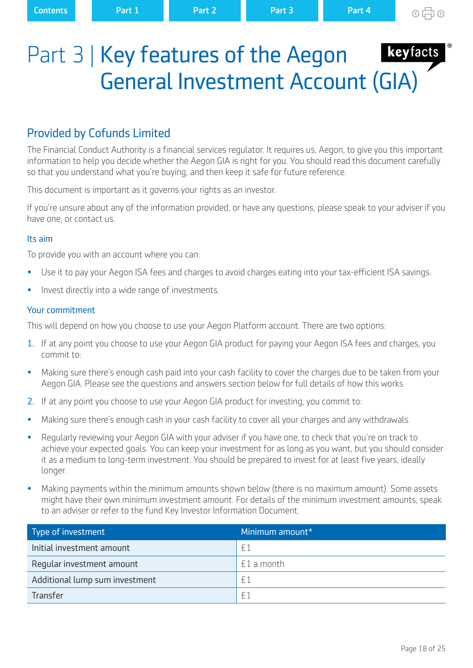# <span id="page-17-0"></span>Part 3 | Key features of the Aegon General Investment Account (GIA)

# Provided by Cofunds Limited

The Financial Conduct Authority is a financial services regulator. It requires us, Aegon, to give you this important information to help you decide whether the Aegon GIA is right for you. You should read this document carefully so that you understand what you're buying, and then keep it safe for future reference.

This document is important as it governs your rights as an investor.

If you're unsure about any of the information provided, or have any questions, please speak to your adviser if you have one, or contact us.

#### Its aim

To provide you with an account where you can:

- Use it to pay your Aegon ISA fees and charges to avoid charges eating into your tax-efficient ISA savings.
- Invest directly into a wide range of investments.

#### Your commitment

This will depend on how you choose to use your Aegon Platform account. There are two options:

- 1. If at any point you choose to use your Aegon GIA product for paying your Aegon ISA fees and charges, you commit to:
- Making sure there's enough cash paid into your cash facility to cover the charges due to be taken from your Aegon GIA. Please see the questions and answers section below for full details of how this works.
- 2. If at any point you choose to use your Aegon GIA product for investing, you commit to:
- Making sure there's enough cash in your cash facility to cover all your charges and any withdrawals.
- Regularly reviewing your Aegon GIA with your adviser if you have one, to check that you're on track to achieve your expected goals. You can keep your investment for as long as you want, but you should consider it as a medium to long-term investment. You should be prepared to invest for at least five years, ideally longer.
- Making payments within the minimum amounts shown below (there is no maximum amount). Some assets might have their own minimum investment amount. For details of the minimum investment amounts, speak to an adviser or refer to the fund Key Investor Information Document.

| Type of investment             | Minimum amount* |
|--------------------------------|-----------------|
| Initial investment amount      | f1              |
| Reqular investment amount      | $£1$ a month    |
| Additional lump sum investment | £1              |
| Transfer                       | $\mathsf{F}$ .  |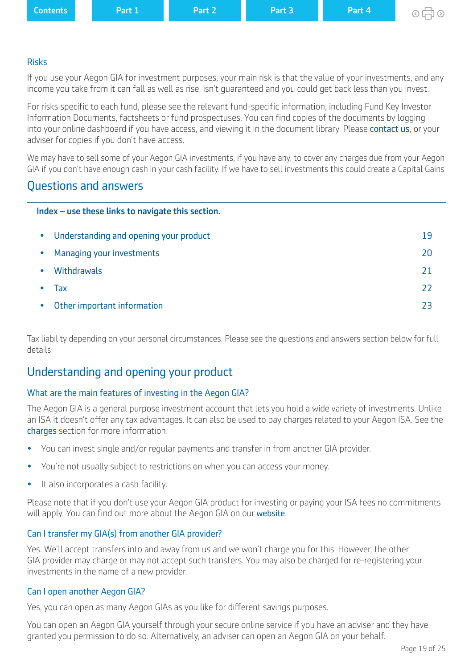<span id="page-18-0"></span>

| <b>Contents</b> | Part 1 | Part 2 | Part 3 | Part 4 |
|-----------------|--------|--------|--------|--------|
|                 |        |        |        |        |

## Risks

If you use your Aegon GIA for investment purposes, your main risk is that the value of your investments, and any income you take from it can fall as well as rise, isn't guaranteed and you could get back less than you invest.

For risks specific to each fund, please see the relevant fund-specific information, including Fund Key Investor Information Documents, factsheets or fund prospectuses. You can find copies of the documents by logging into your online dashboard if you have access, and viewing it in the document library. Please [contact us](https://www.aegon.co.uk/support.html), or your adviser for copies if you don't have access.

We may have to sell some of your Aegon GIA investments, if you have any, to cover any charges due from your Aegon GIA if you don't have enough cash in your cash facility. If we have to sell investments this could create a Capital Gains

## Questions and answers

| Index - use these links to navigate this section.   |    |  |  |  |  |
|-----------------------------------------------------|----|--|--|--|--|
| Understanding and opening your product<br>$\bullet$ | 19 |  |  |  |  |
| Managing your investments<br>$\bullet$              | 20 |  |  |  |  |
| <b>Withdrawals</b>                                  | 21 |  |  |  |  |
| Тах                                                 | 22 |  |  |  |  |
| Other important information                         | 23 |  |  |  |  |

Tax liability depending on your personal circumstances. Please see the questions and answers section below for full details.

# Understanding and opening your product

## What are the main features of investing in the Aegon GIA?

The Aegon GIA is a general purpose investment account that lets you hold a wide variety of investments. Unlike an ISA it doesn't offer any tax advantages. It can also be used to pay charges related to your Aegon ISA. See the [charges](#page-5-0) section for more information.

- You can invest single and/or regular payments and transfer in from another GIA provider.
- You're not usually subject to restrictions on when you can access your money.
- It also incorporates a cash facility.

Please note that if you don't use your Aegon GIA product for investing or paying your ISA fees no commitments will apply. You can find out more about the Aegon GIA on our [website](https://www.cofunds.aegon.co.uk/ukcpw/intermediary.html).

## Can I transfer my GIA(s) from another GIA provider?

Yes. We'll accept transfers into and away from us and we won't charge you for this. However, the other GIA provider may charge or may not accept such transfers. You may also be charged for re-registering your investments in the name of a new provider.

## Can I open another Aegon GIA?

Yes, you can open as many Aegon GIAs as you like for diferent savings purposes.

You can open an Aegon GIA yourself through your secure online service if you have an adviser and they have granted you permission to do so. Alternatively, an adviser can open an Aegon GIA on your behalf.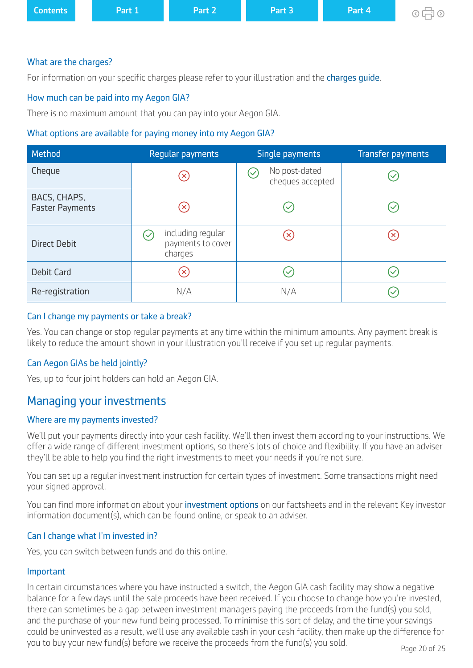<span id="page-19-0"></span>

| <b>Contents</b> | Part 1 | Part 2 | Part 3 | Part 4 | ⊙中<br>$\odot$ |
|-----------------|--------|--------|--------|--------|---------------|
|                 |        |        |        |        |               |

#### What are the charges?

For information on your specific charges please refer to your illustration and the charges quide.

#### How much can be paid into my Aegon GIA?

There is no maximum amount that you can pay into your Aegon GIA.

#### What options are available for paying money into my Aegon GIA?

| Method                                 | Regular payments                                  | Single payments                                           | <b>Transfer payments</b> |
|----------------------------------------|---------------------------------------------------|-----------------------------------------------------------|--------------------------|
| Cheque                                 | $(\!\times\!)$                                    | No post-dated<br>$\blacktriangledown$<br>cheques accepted |                          |
| BACS, CHAPS,<br><b>Faster Payments</b> | $(\mathsf{x})$                                    |                                                           |                          |
| <b>Direct Debit</b>                    | including regular<br>payments to cover<br>charges | $(\mathsf{x})$                                            |                          |
| <b>Debit Card</b>                      | $(\mathsf{x})$                                    |                                                           |                          |
| Re-registration                        | N/A                                               | N/A                                                       |                          |

#### Can I change my payments or take a break?

Yes. You can change or stop regular payments at any time within the minimum amounts. Any payment break is likely to reduce the amount shown in your illustration you'll receive if you set up regular payments.

### Can Aegon GIAs be held jointly?

Yes, up to four joint holders can hold an Aegon GIA.

## Managing your investments

### Where are my payments invested?

We'll put your payments directly into your cash facility. We'll then invest them according to your instructions. We offer a wide range of different investment options, so there's lots of choice and flexibility. If you have an adviser they'll be able to help you find the right investments to meet your needs if you're not sure.

You can set up a regular investment instruction for certain types of investment. Some transactions might need your signed approval.

You can find more information about your [investment options](https://www.aegon.co.uk/investments/customers.html ) on our factsheets and in the relevant Key investor information document(s), which can be found online, or speak to an adviser.

### Can I change what I'm invested in?

Yes, you can switch between funds and do this online.

#### Important

In certain circumstances where you have instructed a switch, the Aegon GIA cash facility may show a negative balance for a few days until the sale proceeds have been received. If you choose to change how you're invested, there can sometimes be a gap between investment managers paying the proceeds from the fund(s) you sold, and the purchase of your new fund being processed. To minimise this sort of delay, and the time your savings could be uninvested as a result, we'll use any available cash in your cash facility, then make up the diference for you to buy your new fund(s) before we receive the proceeds from the fund(s) you sold.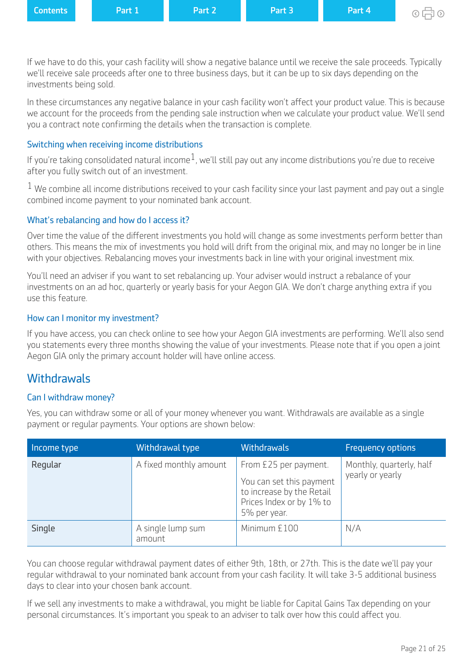<span id="page-20-0"></span>

| <b>Contents</b> | <b>\Part 1\</b> | Part 2 | Part 3 | <b>NPart 4N</b> |
|-----------------|-----------------|--------|--------|-----------------|
|                 |                 |        |        |                 |

⊙ 后 ⊙

If we have to do this, your cash facility will show a negative balance until we receive the sale proceeds. Typically we'll receive sale proceeds after one to three business days, but it can be up to six days depending on the investments being sold.

In these circumstances any negative balance in your cash facility won't afect your product value. This is because we account for the proceeds from the pending sale instruction when we calculate your product value. We'll send you a contract note confrming the details when the transaction is complete.

## Switching when receiving income distributions

If you're taking consolidated natural income<sup>1</sup>, we'll still pay out any income distributions you're due to receive after you fully switch out of an investment.

 $1$  We combine all income distributions received to your cash facility since your last payment and pay out a single combined income payment to your nominated bank account.

## What's rebalancing and how do I access it?

Over time the value of the diferent investments you hold will change as some investments perform better than others. This means the mix of investments you hold will drift from the original mix, and may no longer be in line with your objectives. Rebalancing moves your investments back in line with your original investment mix.

You'll need an adviser if you want to set rebalancing up. Your adviser would instruct a rebalance of your investments on an ad hoc, quarterly or yearly basis for your Aegon GIA. We don't charge anything extra if you use this feature.

### How can I monitor my investment?

If you have access, you can check online to see how your Aegon GIA investments are performing. We'll also send you statements every three months showing the value of your investments. Please note that if you open a joint Aegon GIA only the primary account holder will have online access.

## **Withdrawals**

### Can I withdraw money?

Yes, you can withdraw some or all of your money whenever you want. Withdrawals are available as a single payment or regular payments. Your options are shown below:

| Income type | Withdrawal type             | <b>Withdrawals</b>                                                                                                         | <b>Frequency options</b>                     |
|-------------|-----------------------------|----------------------------------------------------------------------------------------------------------------------------|----------------------------------------------|
| Regular     | A fixed monthly amount      | From £25 per payment.<br>You can set this payment<br>to increase by the Retail<br>Prices Index or by 1% to<br>5% per year. | Monthly, quarterly, half<br>yearly or yearly |
| Single      | A single lump sum<br>amount | Minimum £100                                                                                                               | N/A                                          |

You can choose regular withdrawal payment dates of either 9th, 18th, or 27th. This is the date we'll pay your regular withdrawal to your nominated bank account from your cash facility. It will take 3-5 additional business days to clear into your chosen bank account.

If we sell any investments to make a withdrawal, you might be liable for Capital Gains Tax depending on your personal circumstances. It's important you speak to an adviser to talk over how this could afect you.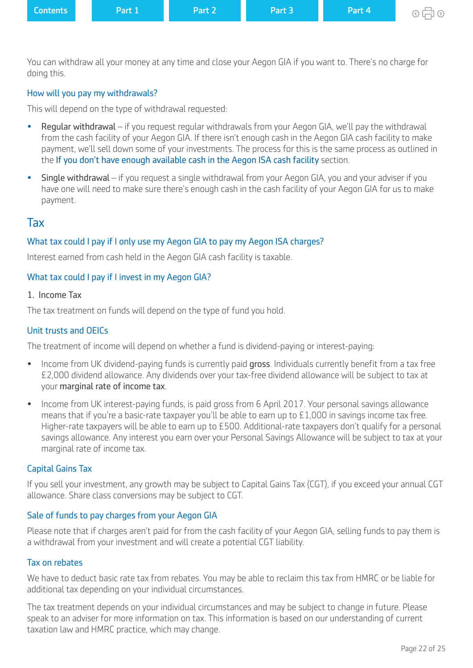<span id="page-21-0"></span>

| <b>Contents</b> | <b>Part 1</b> | Part 2 | Part 3 | Part 4 | $\circ$ 中 $\circ$ |
|-----------------|---------------|--------|--------|--------|-------------------|
|                 |               |        |        |        |                   |

You can withdraw all your money at any time and close your Aegon GIA if you want to. There's no charge for doing this.

### How will you pay my withdrawals?

This will depend on the type of withdrawal requested:

- Regular withdrawal if you request regular withdrawals from your Aegon GIA, we'll pay the withdrawal from the cash facility of your Aegon GIA. If there isn't enough cash in the Aegon GIA cash facility to make payment, we'll sell down some of your investments. The process for this is the same process as outlined in the [If you don't have enough available cash in the Aegon ISA cash facility](#page-6-0) section.
- Single withdrawal if you request a single withdrawal from your Aegon GIA, you and your adviser if you have one will need to make sure there's enough cash in the cash facility of your Aegon GIA for us to make payment.

## Tax

#### What tax could I pay if I only use my Aegon GIA to pay my Aegon ISA charges?

Interest earned from cash held in the Aegon GIA cash facility is taxable.

#### What tax could I pay if I invest in my Aegon GIA?

#### 1. Income Tax

The tax treatment on funds will depend on the type of fund you hold.

#### Unit trusts and OEICs

The treatment of income will depend on whether a fund is dividend-paying or interest-paying:

- Income from UK dividend-paying funds is currently paid gross. Individuals currently benefit from a tax free £2,000 dividend allowance. Any dividends over your tax-free dividend allowance will be subject to tax at your marginal rate of income tax.
- Income from UK interest-paying funds, is paid gross from 6 April 2017. Your personal savings allowance means that if you're a basic-rate taxpayer you'll be able to earn up to £1,000 in savings income tax free. Higher-rate taxpayers will be able to earn up to £500. Additional-rate taxpayers don't qualify for a personal savings allowance. Any interest you earn over your Personal Savings Allowance will be subject to tax at your marginal rate of income tax.

#### Capital Gains Tax

If you sell your investment, any growth may be subject to Capital Gains Tax (CGT), if you exceed your annual CGT allowance. Share class conversions may be subject to CGT.

#### Sale of funds to pay charges from your Aegon GIA

Please note that if charges aren't paid for from the cash facility of your Aegon GIA, selling funds to pay them is a withdrawal from your investment and will create a potential CGT liability.

#### Tax on rebates

We have to deduct basic rate tax from rebates. You may be able to reclaim this tax from HMRC or be liable for additional tax depending on your individual circumstances.

The tax treatment depends on your individual circumstances and may be subject to change in future. Please speak to an adviser for more information on tax. This information is based on our understanding of current taxation law and HMRC practice, which may change.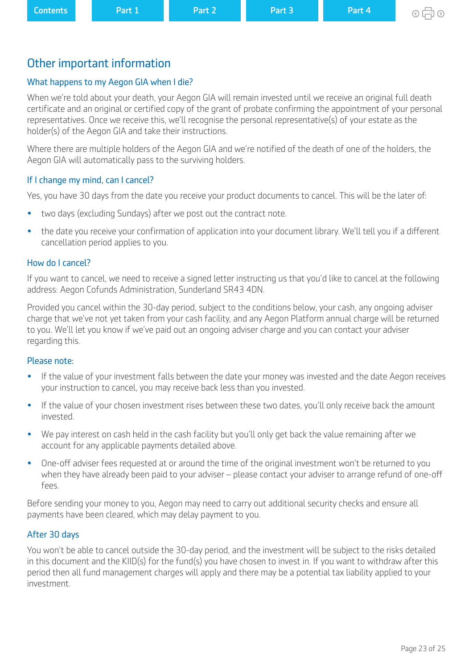# <span id="page-22-0"></span>Other important information

# What happens to my Aegon GIA when I die?

When we're told about your death, your Aegon GIA will remain invested until we receive an original full death certifcate and an original or certifed copy of the grant of probate confrming the appointment of your personal representatives. Once we receive this, we'll recognise the personal representative(s) of your estate as the holder(s) of the Aegon GIA and take their instructions.

Where there are multiple holders of the Aegon GIA and we're notifed of the death of one of the holders, the Aegon GIA will automatically pass to the surviving holders.

## If I change my mind, can I cancel?

Yes, you have 30 days from the date you receive your product documents to cancel. This will be the later of:

- two days (excluding Sundays) after we post out the contract note.
- the date you receive your confrmation of application into your document library. We'll tell you if a diferent cancellation period applies to you.

## How do I cancel?

If you want to cancel, we need to receive a signed letter instructing us that you'd like to cancel at the following address: Aegon Cofunds Administration, Sunderland SR43 4DN.

Provided you cancel within the 30-day period, subject to the conditions below, your cash, any ongoing adviser charge that we've not yet taken from your cash facility, and any Aegon Platform annual charge will be returned to you. We'll let you know if we've paid out an ongoing adviser charge and you can contact your adviser regarding this.

## Please note:

- If the value of your investment falls between the date your money was invested and the date Aegon receives your instruction to cancel, you may receive back less than you invested.
- If the value of your chosen investment rises between these two dates, you'll only receive back the amount invested.
- We pay interest on cash held in the cash facility but you'll only get back the value remaining after we account for any applicable payments detailed above.
- One-of adviser fees requested at or around the time of the original investment won't be returned to you when they have already been paid to your adviser – please contact your adviser to arrange refund of one-off fees.

Before sending your money to you, Aegon may need to carry out additional security checks and ensure all payments have been cleared, which may delay payment to you.

## After 30 days

You won't be able to cancel outside the 30-day period, and the investment will be subject to the risks detailed in this document and the KIID(s) for the fund(s) you have chosen to invest in. If you want to withdraw after this period then all fund management charges will apply and there may be a potential tax liability applied to your investment.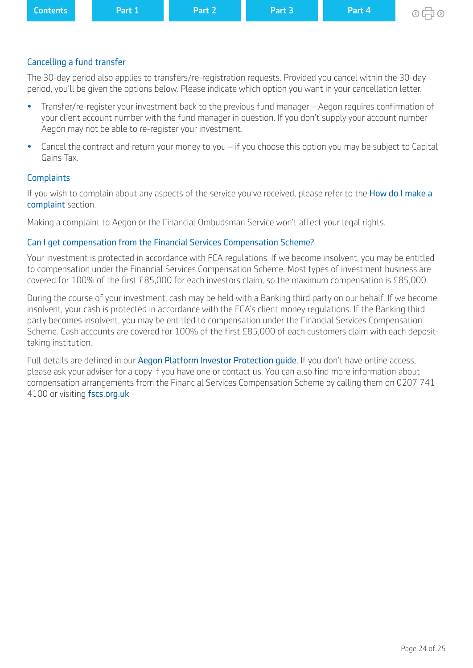|--|

### Cancelling a fund transfer

The 30-day period also applies to transfers/re-registration requests. Provided you cancel within the 30-day period, you'll be given the options below. Please indicate which option you want in your cancellation letter.

- Transfer/re-register your investment back to the previous fund manager Aegon requires confrmation of your client account number with the fund manager in question. If you don't supply your account number Aegon may not be able to re-register your investment.
- Cancel the contract and return your money to you if you choose this option you may be subject to Capital Gains Tax.

#### **Complaints**

If you wish to complain about any aspects of the service you've received, please refer to the How do I make a [complaint](#page-7-0) section.

Making a complaint to Aegon or the Financial Ombudsman Service won't affect your legal rights.

#### Can I get compensation from the Financial Services Compensation Scheme?

Your investment is protected in accordance with FCA regulations. If we become insolvent, you may be entitled to compensation under the Financial Services Compensation Scheme. Most types of investment business are covered for 100% of the frst £85,000 for each investors claim, so the maximum compensation is £85,000.

During the course of your investment, cash may be held with a Banking third party on our behalf. If we become insolvent, your cash is protected in accordance with the FCA's client money regulations. If the Banking third party becomes insolvent, you may be entitled to compensation under the Financial Services Compensation Scheme. Cash accounts are covered for 100% of the first £85,000 of each customers claim with each deposittaking institution.

Full details are defined in our Aegon Platform Investor Protection quide. If you don't have online access, please ask your adviser for a copy if you have one or contact us. You can also find more information about compensation arrangements from the Financial Services Compensation Scheme by calling them on 0207 741 4100 or visiting [fscs.org.uk](http://www.fscs.org.uk/)